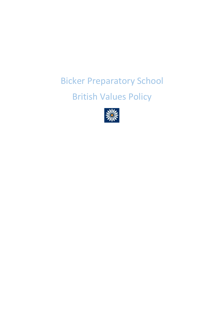# Bicker Preparatory School

## British Values Policy

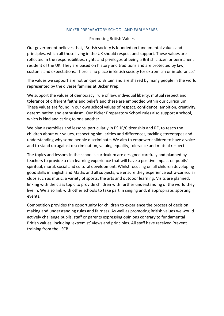#### BICKER PREPARATORY SCHOOL AND EARLY YEARS

#### Promoting British Values

Our government believes that, 'British society is founded on fundamental values and principles, which all those living in the UK should respect and support. These values are reflected in the responsibilities, rights and privileges of being a British citizen or permanent resident of the UK. They are based on history and traditions and are protected by law, customs and expectations. There is no place in British society for extremism or intolerance.'

The values we support are not unique to Britain and are shared by many people in the world represented by the diverse families at Bicker Prep.

We support the values of democracy, rule of law, individual liberty, mutual respect and tolerance of different faiths and beliefs and these are embedded within our curriculum. These values are found in our own school values of respect, confidence, ambition, creativity, determination and enthusiasm. Our Bicker Preparatory School rules also support a school, which is kind and caring to one another.

We plan assemblies and lessons, particularly in PSHE/Citizenship and RE, to teach the children about our values, respecting similarities and differences, tackling stereotypes and understanding why some people discriminate. We aim to empower children to have a voice and to stand up against discrimination, valuing equality, tolerance and mutual respect.

The topics and lessons in the school's curriculum are designed carefully and planned by teachers to provide a rich learning experience that will have a positive impact on pupils' spiritual, moral, social and cultural development. Whilst focusing on all children developing good skills in English and Maths and all subjects, we ensure they experience extra-curricular clubs such as music, a variety of sports, the arts and outdoor learning. Visits are planned, linking with the class topic to provide children with further understanding of the world they live in. We also link with other schools to take part in singing and, if appropriate, sporting events.

Competition provides the opportunity for children to experience the process of decision making and understanding rules and fairness. As well as promoting British values we would actively challenge pupils, staff or parents expressing opinions contrary to fundamental British values, including 'extremist' views and principles. All staff have received Prevent training from the LSCB.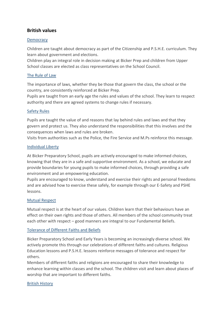### **British values**

#### **Democracy**

Children are taught about democracy as part of the Citizenship and P.S.H.E. curriculum. They learn about government and elections.

Children play an integral role in decision making at Bicker Prep and children from Upper School classes are elected as class representatives on the School Council.

#### The Rule of Law

The importance of laws, whether they be those that govern the class, the school or the country, are consistently reinforced at Bicker Prep.

Pupils are taught from an early age the rules and values of the school. They learn to respect authority and there are agreed systems to change rules if necessary.

#### Safety Rules

Pupils are taught the value of and reasons that lay behind rules and laws and that they govern and protect us. They also understand the responsibilities that this involves and the consequences when laws and rules are broken.

Visits from authorities such as the Police, the Fire Service and M.Ps reinforce this message.

#### Individual Liberty

At Bicker Preparatory School, pupils are actively encouraged to make informed choices, knowing that they are in a safe and supportive environment. As a school, we educate and provide boundaries for young pupils to make informed choices, through providing a safe environment and an empowering education.

Pupils are encouraged to know, understand and exercise their rights and personal freedoms and are advised how to exercise these safely, for example through our E-Safety and PSHE lessons.

#### Mutual Respect

Mutual respect is at the heart of our values. Children learn that their behaviours have an effect on their own rights and those of others. All members of the school community treat each other with respect – good manners are integral to our Fundamental Beliefs.

#### Tolerance of Different Faiths and Beliefs

Bicker Preparatory School and Early Years is becoming an increasingly diverse school. We actively promote this through our celebrations of different faiths and cultures. Religious Education lessons and P.S.H.E. lessons reinforce messages of tolerance and respect for others.

Members of different faiths and religions are encouraged to share their knowledge to enhance learning within classes and the school. The children visit and learn about places of worship that are important to different faiths.

#### British History